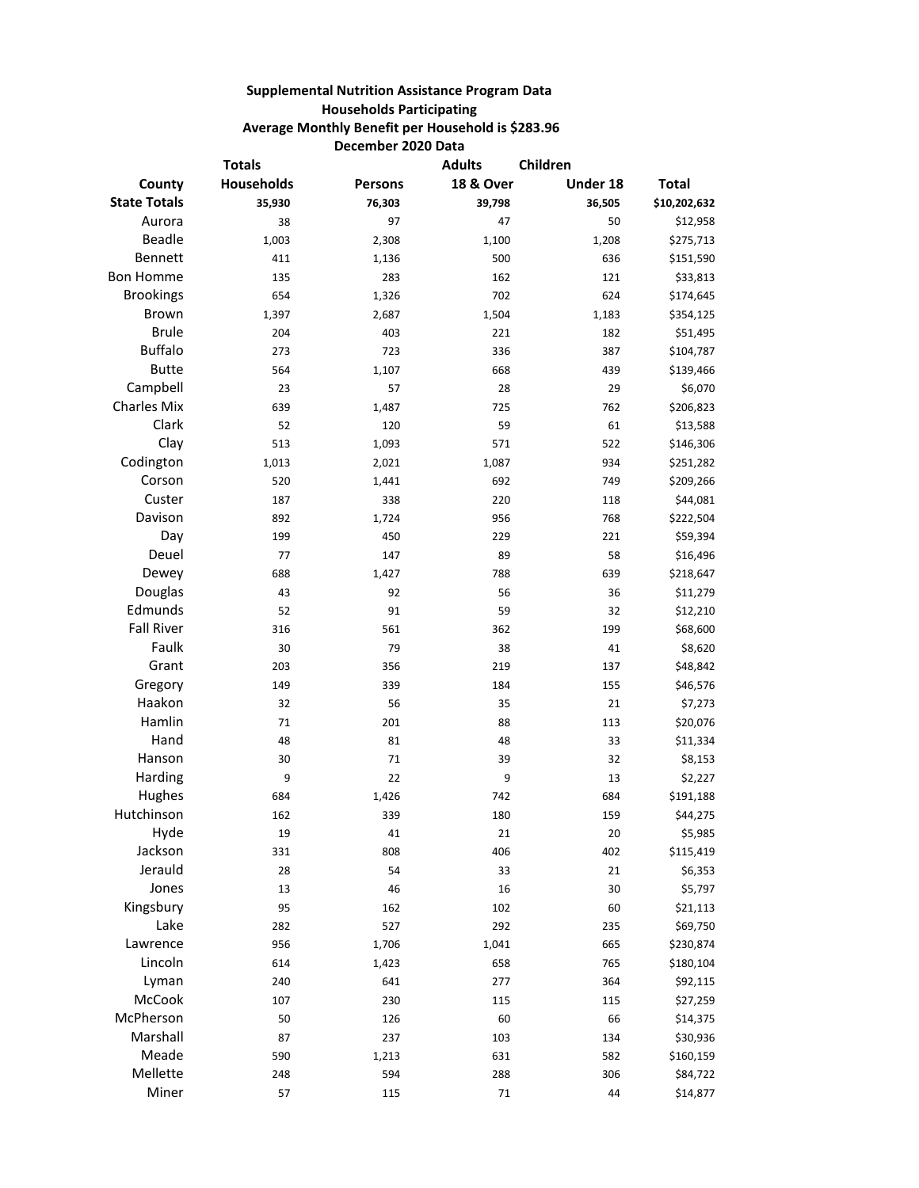## **Supplemental Nutrition Assistance Program Data Households Participating Average Monthly Benefit per Household is \$283.96 December 2020 Data**

|                     | <b>Totals</b> |         | <b>Adults</b>        | Children |              |
|---------------------|---------------|---------|----------------------|----------|--------------|
| County              | Households    | Persons | <b>18 &amp; Over</b> | Under 18 | <b>Total</b> |
| <b>State Totals</b> | 35,930        | 76,303  | 39,798               | 36,505   | \$10,202,632 |
| Aurora              | 38            | 97      | 47                   | 50       | \$12,958     |
| <b>Beadle</b>       | 1,003         | 2,308   | 1,100                | 1,208    | \$275,713    |
| Bennett             | 411           | 1,136   | 500                  | 636      | \$151,590    |
| <b>Bon Homme</b>    | 135           | 283     | 162                  | 121      | \$33,813     |
| <b>Brookings</b>    | 654           | 1,326   | 702                  | 624      | \$174,645    |
| <b>Brown</b>        | 1,397         | 2,687   | 1,504                | 1,183    | \$354,125    |
| <b>Brule</b>        | 204           | 403     | 221                  | 182      | \$51,495     |
| <b>Buffalo</b>      | 273           | 723     | 336                  | 387      | \$104,787    |
| <b>Butte</b>        | 564           | 1,107   | 668                  | 439      | \$139,466    |
| Campbell            | 23            | 57      | 28                   | 29       | \$6,070      |
| <b>Charles Mix</b>  | 639           | 1,487   | 725                  | 762      | \$206,823    |
| Clark               | 52            | 120     | 59                   | 61       | \$13,588     |
| Clay                | 513           | 1,093   | 571                  | 522      | \$146,306    |
| Codington           | 1,013         | 2,021   | 1,087                | 934      | \$251,282    |
| Corson              | 520           | 1,441   | 692                  | 749      | \$209,266    |
| Custer              | 187           | 338     | 220                  | 118      | \$44,081     |
| Davison             | 892           | 1,724   | 956                  | 768      | \$222,504    |
| Day                 | 199           | 450     | 229                  | 221      | \$59,394     |
| Deuel               | 77            | 147     | 89                   | 58       | \$16,496     |
| Dewey               | 688           | 1,427   | 788                  | 639      | \$218,647    |
| Douglas             | 43            | 92      | 56                   | 36       | \$11,279     |
| Edmunds             | 52            | 91      | 59                   | 32       | \$12,210     |
| <b>Fall River</b>   | 316           | 561     | 362                  | 199      | \$68,600     |
| Faulk               | 30            | 79      | 38                   | 41       | \$8,620      |
| Grant               | 203           | 356     | 219                  | 137      | \$48,842     |
| Gregory             | 149           | 339     | 184                  | 155      | \$46,576     |
| Haakon              | 32            | 56      | 35                   | 21       | \$7,273      |
| Hamlin              | 71            | 201     | 88                   | 113      | \$20,076     |
| Hand                | 48            | 81      | 48                   | 33       | \$11,334     |
| Hanson              | 30            | 71      | 39                   | 32       | \$8,153      |
| Harding             | 9             | 22      | 9                    | 13       | \$2,227      |
| Hughes              | 684           | 1,426   | 742                  | 684      | \$191,188    |
| Hutchinson          | 162           | 339     | 180                  | 159      | \$44,275     |
| Hyde                | 19            | 41      | 21                   | 20       | \$5,985      |
| Jackson             | 331           | 808     | 406                  | 402      | \$115,419    |
| Jerauld             | 28            | 54      | 33                   | 21       | \$6,353      |
| Jones               | 13            | 46      | 16                   | 30       | \$5,797      |
| Kingsbury           | 95            | 162     | 102                  | 60       | \$21,113     |
| Lake                | 282           | 527     | 292                  | 235      | \$69,750     |
| Lawrence            | 956           | 1,706   | 1,041                | 665      | \$230,874    |
| Lincoln             | 614           | 1,423   | 658                  | 765      | \$180,104    |
| Lyman               | 240           | 641     | 277                  | 364      | \$92,115     |
| McCook              | 107           | 230     | 115                  | 115      | \$27,259     |
| McPherson           | 50            | 126     | 60                   | 66       | \$14,375     |
| Marshall            | 87            | 237     | 103                  | 134      | \$30,936     |
| Meade               | 590           | 1,213   | 631                  | 582      | \$160,159    |
| Mellette            | 248           | 594     | 288                  | 306      | \$84,722     |
| Miner               | 57            | 115     | 71                   | 44       | \$14,877     |